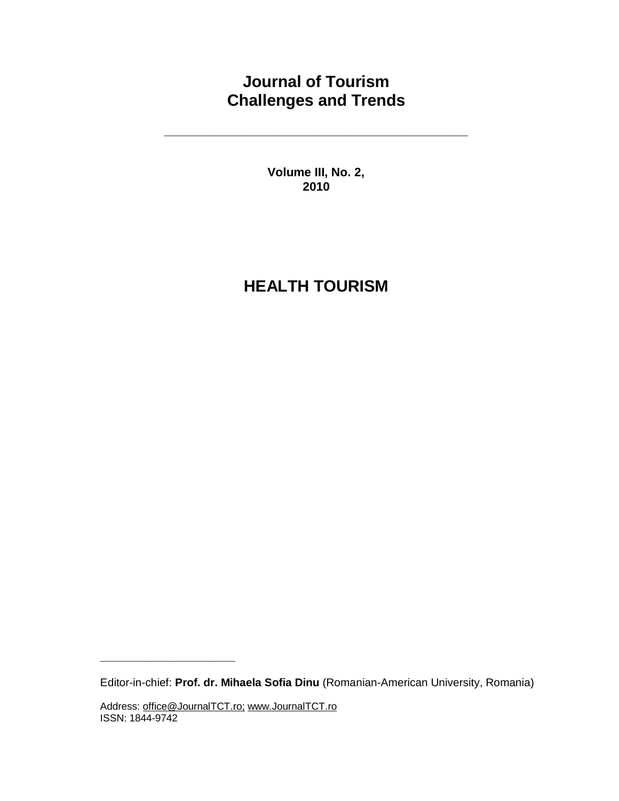# **Journal of Tourism Challenges and Trends**

**\_\_\_\_\_\_\_\_\_\_\_\_\_\_\_\_\_\_\_\_\_\_\_\_\_\_\_\_\_\_\_\_\_\_\_\_\_\_\_\_\_\_\_\_\_** 

**Volume III, No. 2, 2010**

# **HEALTH TOURISM**

Editor-in-chief: **Prof. dr. Mihaela Sofia Dinu** (Romanian-American University, Romania)

**\_\_\_\_\_\_\_\_\_\_\_\_\_\_\_\_\_\_\_\_**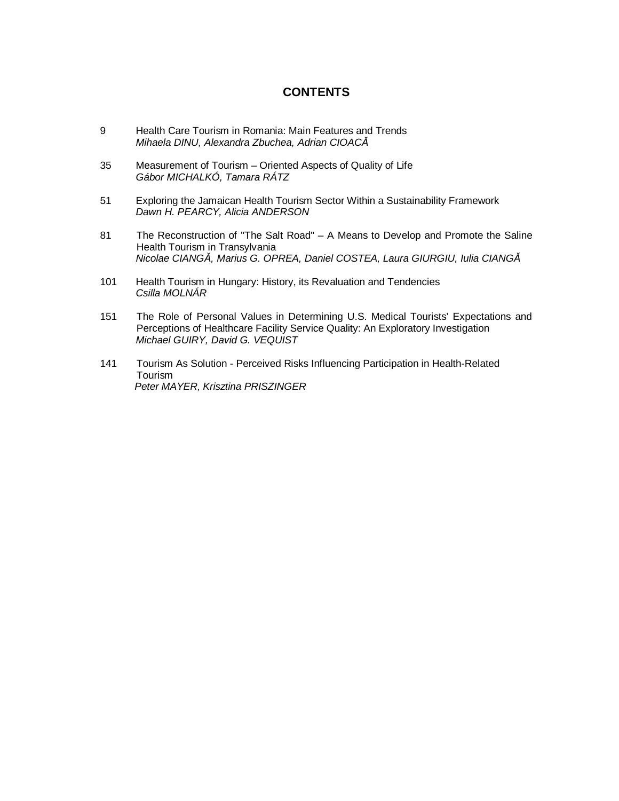## **CONTENTS**

- 9 Health Care Tourism in Romania: Main Features and Trends *Mihaela DINU, Alexandra Zbuchea, Adrian CIOACĂ*
- 35 Measurement of Tourism Oriented Aspects of Quality of Life *Gábor MICHALKÓ, Tamara RÁTZ*
- 51 Exploring the Jamaican Health Tourism Sector Within a Sustainability Framework *Dawn H. PEARCY, Alicia ANDERSON*
- 81 The Reconstruction of "The Salt Road" A Means to Develop and Promote the Saline Health Tourism in Transylvania *Nicolae CIANGĂ, Marius G. OPREA, Daniel COSTEA, Laura GIURGIU, Iulia CIANGĂ*
- 101 Health Tourism in Hungary: History, its Revaluation and Tendencies *Csilla MOLNÁR*
- 151 The Role of Personal Values in Determining U.S. Medical Tourists' Expectations and Perceptions of Healthcare Facility Service Quality: An Exploratory Investigation *Michael GUIRY, David G. VEQUIST*
- 141 Tourism As Solution Perceived Risks Influencing Participation in Health-Related Tourism  *Peter MAYER, Krisztina PRISZINGER*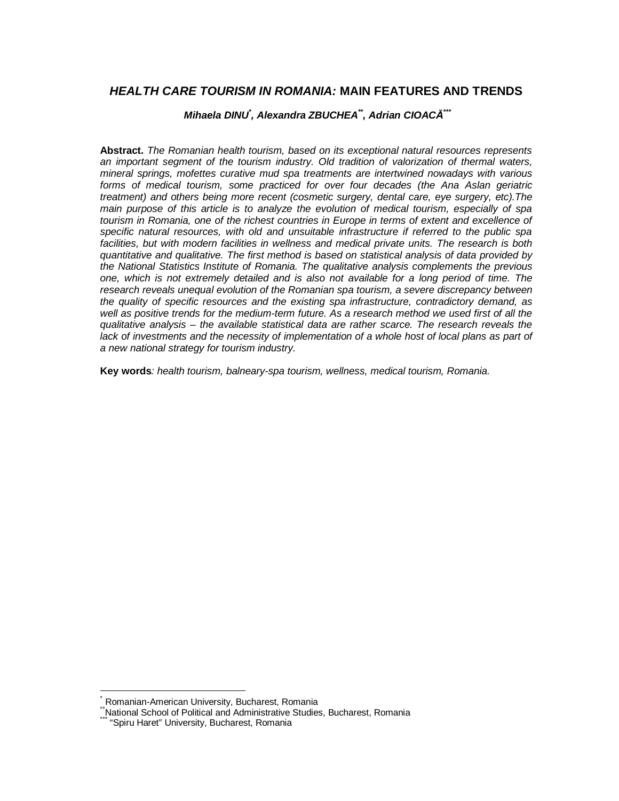## *HEALTH CARE TOURISM IN ROMANIA:* **MAIN FEATURES AND TRENDS**

#### *Mihaela DINU\* , Alexandra ZBUCHEA\*\* , Adrian CIOACĂ \*\*\**

**Abstract.** *The Romanian health tourism, based on its exceptional natural resources represents an important segment of the tourism industry. Old tradition of valorization of thermal waters, mineral springs, mofettes curative mud spa treatments are intertwined nowadays with various forms of medical tourism, some practiced for over four decades (the Ana Aslan geriatric treatment) and others being more recent (cosmetic surgery, dental care, eye surgery, etc).The main purpose of this article is to analyze the evolution of medical tourism, especially of spa tourism in Romania, one of the richest countries in Europe in terms of extent and excellence of specific natural resources, with old and unsuitable infrastructure if referred to the public spa facilities, but with modern facilities in wellness and medical private units. The research is both quantitative and qualitative. The first method is based on statistical analysis of data provided by the National Statistics Institute of Romania. The qualitative analysis complements the previous one, which is not extremely detailed and is also not available for a long period of time. The research reveals unequal evolution of the Romanian spa tourism, a severe discrepancy between the quality of specific resources and the existing spa infrastructure, contradictory demand, as well as positive trends for the medium-term future. As a research method we used first of all the qualitative analysis – the available statistical data are rather scarce. The research reveals the lack of investments and the necessity of implementation of a whole host of local plans as part of a new national strategy for tourism industry.* 

**Key words***: health tourism, balneary-spa tourism, wellness, medical tourism, Romania.* 

Romanian-American University, Bucharest, Romania

National School of Political and Administrative Studies, Bucharest, Romania

<sup>&</sup>quot;Spiru Haret" University, Bucharest, Romania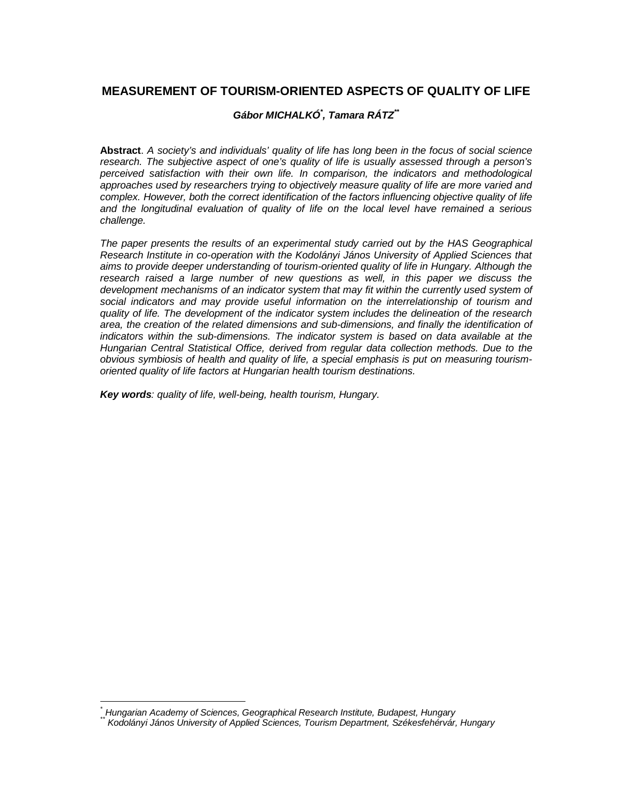# **MEASUREMENT OF TOURISM-ORIENTED ASPECTS OF QUALITY OF LIFE**

#### *Gábor MICHALKÓ\* , Tamara RÁTZ\*\**

**Abstract**. *A society's and individuals' quality of life has long been in the focus of social science research. The subjective aspect of one's quality of life is usually assessed through a person's perceived satisfaction with their own life. In comparison, the indicators and methodological approaches used by researchers trying to objectively measure quality of life are more varied and complex. However, both the correct identification of the factors influencing objective quality of life and the longitudinal evaluation of quality of life on the local level have remained a serious challenge.* 

*The paper presents the results of an experimental study carried out by the HAS Geographical Research Institute in co-operation with the Kodolányi János University of Applied Sciences that aims to provide deeper understanding of tourism-oriented quality of life in Hungary. Although the research raised a large number of new questions as well, in this paper we discuss the development mechanisms of an indicator system that may fit within the currently used system of social indicators and may provide useful information on the interrelationship of tourism and quality of life. The development of the indicator system includes the delineation of the research area, the creation of the related dimensions and sub-dimensions, and finally the identification of indicators within the sub-dimensions. The indicator system is based on data available at the Hungarian Central Statistical Office, derived from regular data collection methods. Due to the obvious symbiosis of health and quality of life, a special emphasis is put on measuring tourismoriented quality of life factors at Hungarian health tourism destinations.* 

*Key words: quality of life, well-being, health tourism, Hungary.* 

*<sup>\*</sup> Hungarian Academy of Sciences, Geographical Research Institute, Budapest, Hungary* 

*<sup>\*\*</sup> Kodolányi János University of Applied Sciences, Tourism Department, Székesfehérvár, Hungary*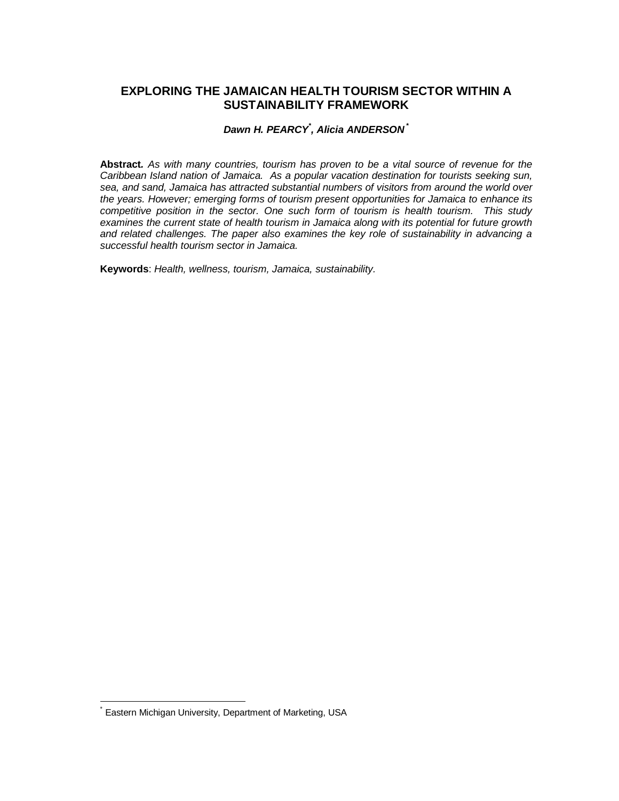## **EXPLORING THE JAMAICAN HEALTH TOURISM SECTOR WITHIN A SUSTAINABILITY FRAMEWORK**

## *Dawn H. PEARCY\* , Alicia ANDERSON \**

**Abstract***. As with many countries, tourism has proven to be a vital source of revenue for the Caribbean Island nation of Jamaica. As a popular vacation destination for tourists seeking sun, sea, and sand, Jamaica has attracted substantial numbers of visitors from around the world over the years. However; emerging forms of tourism present opportunities for Jamaica to enhance its competitive position in the sector. One such form of tourism is health tourism. This study examines the current state of health tourism in Jamaica along with its potential for future growth and related challenges. The paper also examines the key role of sustainability in advancing a successful health tourism sector in Jamaica.* 

**Keywords**: *Health, wellness, tourism, Jamaica, sustainability.* 

Eastern Michigan University, Department of Marketing, USA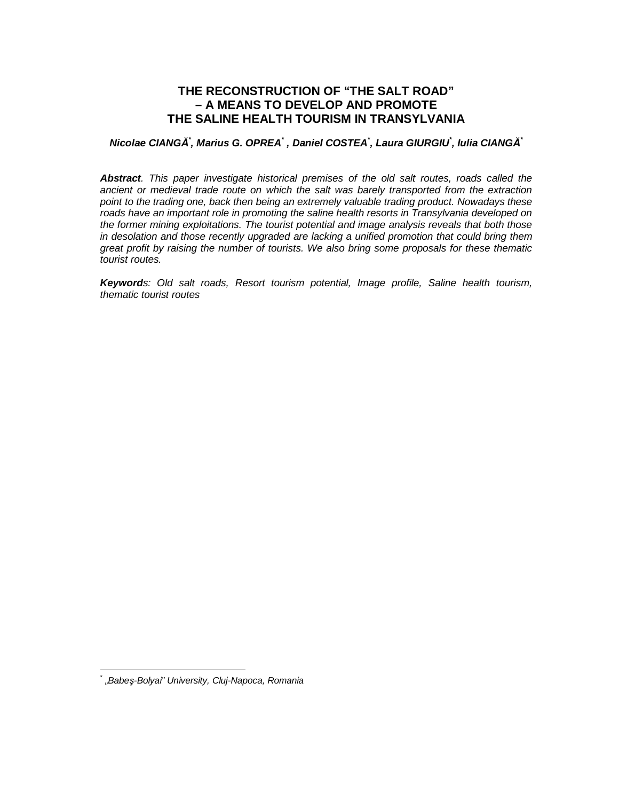# **THE RECONSTRUCTION OF "THE SALT ROAD" – A MEANS TO DEVELOP AND PROMOTE THE SALINE HEALTH TOURISM IN TRANSYLVANIA**

#### Nicolae CIANGĂ`, Marius G. OPREA`, Daniel COSTEA`, Laura GIURGIU`, Iulia CIANGĂ`

*Abstract. This paper investigate historical premises of the old salt routes, roads called the ancient or medieval trade route on which the salt was barely transported from the extraction point to the trading one, back then being an extremely valuable trading product. Nowadays these roads have an important role in promoting the saline health resorts in Transylvania developed on the former mining exploitations. The tourist potential and image analysis reveals that both those in desolation and those recently upgraded are lacking a unified promotion that could bring them great profit by raising the number of tourists. We also bring some proposals for these thematic tourist routes.* 

*Keywords: Old salt roads, Resort tourism potential, Image profile, Saline health tourism, thematic tourist routes*

<sup>\*</sup> *"Babeş-Bolyai" University, Cluj-Napoca, Romania*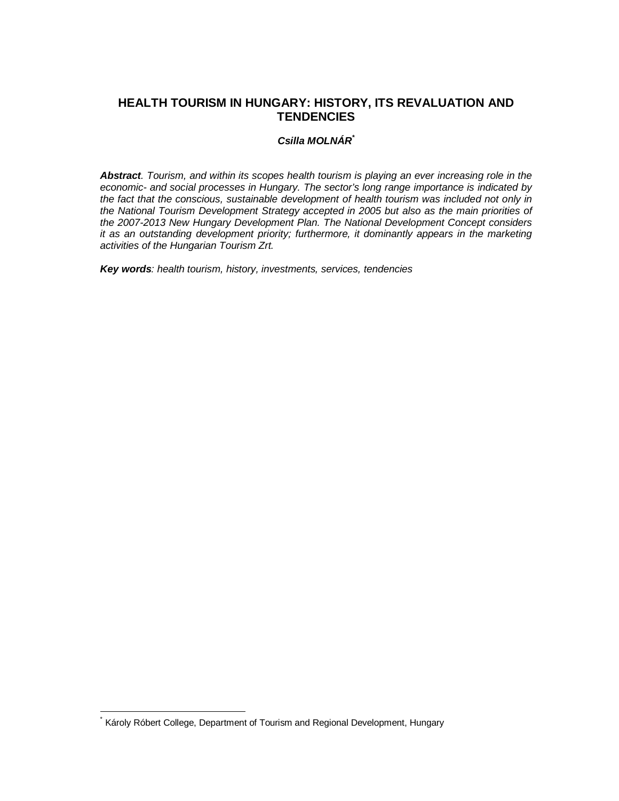## **HEALTH TOURISM IN HUNGARY: HISTORY, ITS REVALUATION AND TENDENCIES**

#### *Csilla MOLNÁR\**

*Abstract. Tourism, and within its scopes health tourism is playing an ever increasing role in the economic- and social processes in Hungary. The sector's long range importance is indicated by the fact that the conscious, sustainable development of health tourism was included not only in the National Tourism Development Strategy accepted in 2005 but also as the main priorities of the 2007-2013 New Hungary Development Plan. The National Development Concept considers it as an outstanding development priority; furthermore, it dominantly appears in the marketing activities of the Hungarian Tourism Zrt.* 

*Key words: health tourism, history, investments, services, tendencies* 

Károly Róbert College, Department of Tourism and Regional Development, Hungary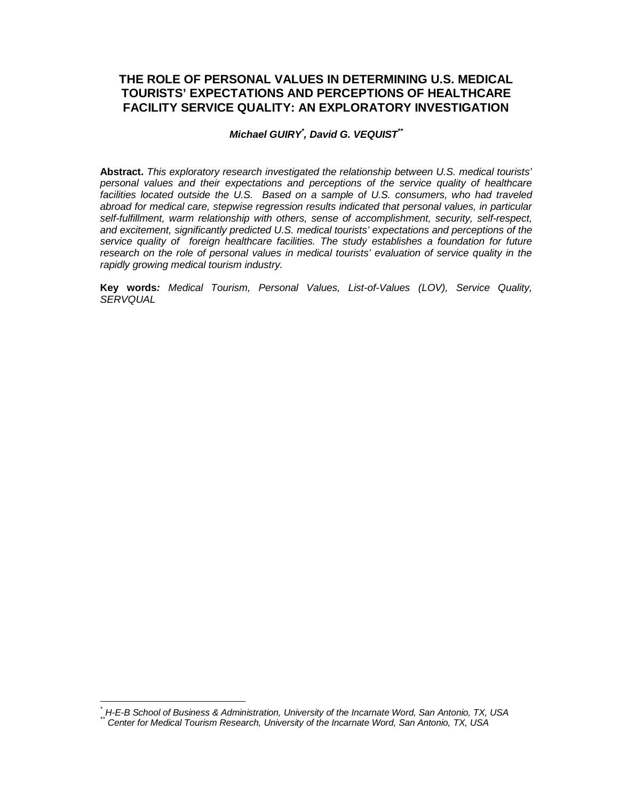# **THE ROLE OF PERSONAL VALUES IN DETERMINING U.S. MEDICAL TOURISTS' EXPECTATIONS AND PERCEPTIONS OF HEALTHCARE FACILITY SERVICE QUALITY: AN EXPLORATORY INVESTIGATION**

#### *Michael GUIRY\* , David G. VEQUIST\*\**

**Abstract.** *This exploratory research investigated the relationship between U.S. medical tourists' personal values and their expectations and perceptions of the service quality of healthcare facilities located outside the U.S. Based on a sample of U.S. consumers, who had traveled abroad for medical care, stepwise regression results indicated that personal values, in particular self-fulfillment, warm relationship with others, sense of accomplishment, security, self-respect, and excitement, significantly predicted U.S. medical tourists' expectations and perceptions of the service quality of foreign healthcare facilities. The study establishes a foundation for future research on the role of personal values in medical tourists' evaluation of service quality in the rapidly growing medical tourism industry.* 

**Key words***: Medical Tourism, Personal Values, List-of-Values (LOV), Service Quality, SERVQUAL* 

*<sup>\*</sup> H-E-B School of Business & Administration, University of the Incarnate Word, San Antonio, TX, USA* 

*<sup>\*\*</sup> Center for Medical Tourism Research, University of the Incarnate Word, San Antonio, TX, USA*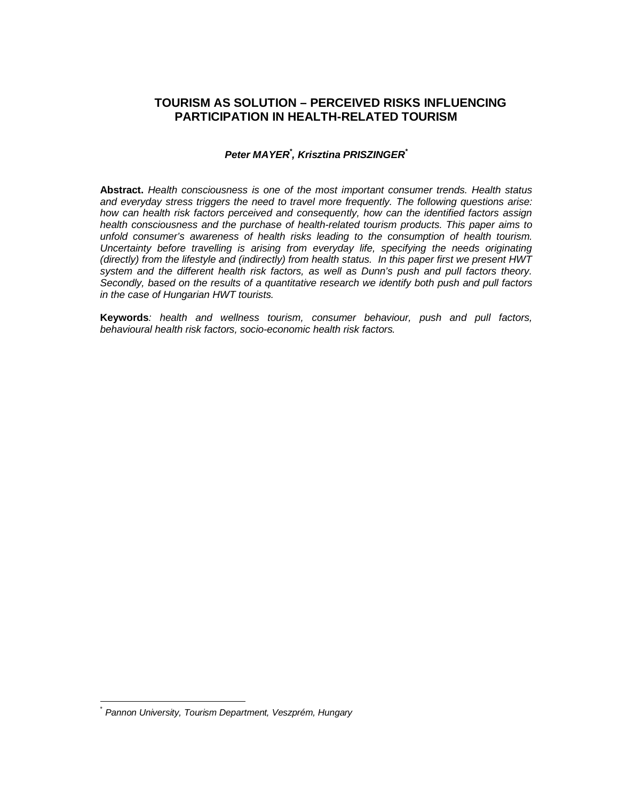# **TOURISM AS SOLUTION – PERCEIVED RISKS INFLUENCING PARTICIPATION IN HEALTH-RELATED TOURISM**

#### *Peter MAYER\* , Krisztina PRISZINGER\**

**Abstract.** *Health consciousness is one of the most important consumer trends. Health status and everyday stress triggers the need to travel more frequently. The following questions arise: how can health risk factors perceived and consequently, how can the identified factors assign health consciousness and the purchase of health-related tourism products. This paper aims to unfold consumer's awareness of health risks leading to the consumption of health tourism. Uncertainty before travelling is arising from everyday life, specifying the needs originating (directly) from the lifestyle and (indirectly) from health status. In this paper first we present HWT system and the different health risk factors, as well as Dunn's push and pull factors theory. Secondly, based on the results of a quantitative research we identify both push and pull factors in the case of Hungarian HWT tourists.* 

**Keywords***: health and wellness tourism, consumer behaviour, push and pull factors, behavioural health risk factors, socio-economic health risk factors.* 

<sup>\*</sup> *Pannon University, Tourism Department, Veszprém, Hungary*